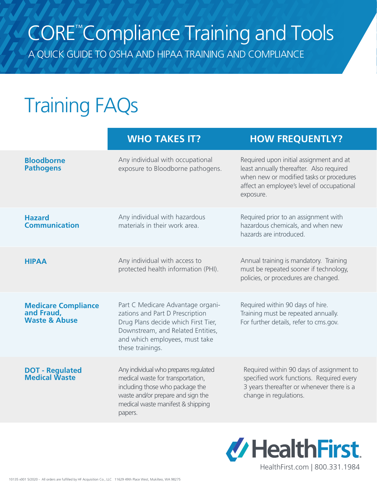# CORE™ Compliance Training and Tools

A QUICK GUIDE TO OSHA AND HIPAA TRAINING AND COMPLIANCE

# Training FAQs

|                                                                      | <b>WHO TAKES IT?</b>                                                                                                                                                                                   | <b>HOW FREQUENTLY?</b>                                                                                                                                                                     |
|----------------------------------------------------------------------|--------------------------------------------------------------------------------------------------------------------------------------------------------------------------------------------------------|--------------------------------------------------------------------------------------------------------------------------------------------------------------------------------------------|
| <b>Bloodborne</b><br><b>Pathogens</b>                                | Any individual with occupational<br>exposure to Bloodborne pathogens.                                                                                                                                  | Required upon initial assignment and at<br>least annually thereafter. Also required<br>when new or modified tasks or procedures<br>affect an employee's level of occupational<br>exposure. |
| <b>Hazard</b><br><b>Communication</b>                                | Any individual with hazardous<br>materials in their work area.                                                                                                                                         | Required prior to an assignment with<br>hazardous chemicals, and when new<br>hazards are introduced.                                                                                       |
| <b>HIPAA</b>                                                         | Any individual with access to<br>protected health information (PHI).                                                                                                                                   | Annual training is mandatory. Training<br>must be repeated sooner if technology,<br>policies, or procedures are changed.                                                                   |
| <b>Medicare Compliance</b><br>and Fraud,<br><b>Waste &amp; Abuse</b> | Part C Medicare Advantage organi-<br>zations and Part D Prescription<br>Drug Plans decide which First Tier,<br>Downstream, and Related Entities,<br>and which employees, must take<br>these trainings. | Required within 90 days of hire.<br>Training must be repeated annually.<br>For further details, refer to cms.gov.                                                                          |
| <b>DOT - Regulated</b><br><b>Medical Waste</b>                       | Any individual who prepares regulated<br>medical waste for transportation,<br>including those who package the<br>waste and/or prepare and sign the<br>medical waste manifest & shipping<br>papers.     | Required within 90 days of assignment to<br>specified work functions. Required every<br>3 years thereafter or whenever there is a<br>change in regulations.                                |